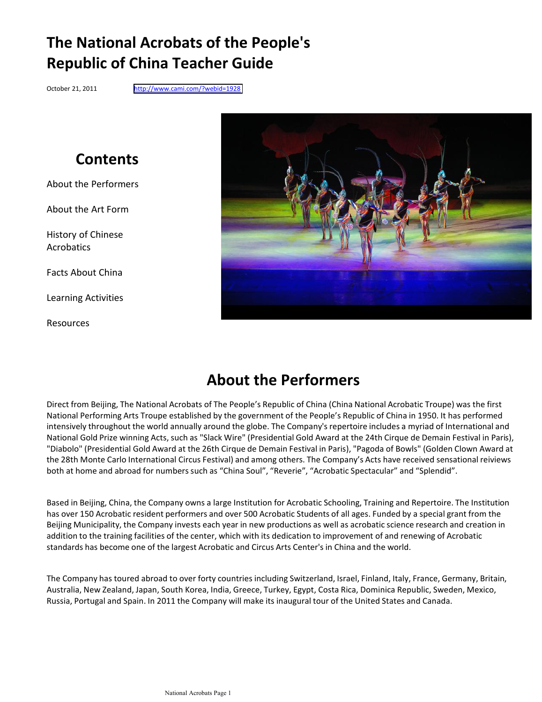# **The National Acrobats of the People's Republic of China Teacher Guide**

October 21, 2011 <http://www.cami.com/?webid=1928>

# **Contents**

About the Performers

About the Art Form

History of Chinese Acrobatics

Facts About China

Learning Activities

Resources



# **About the Performers**

Direct from Beijing, The National Acrobats of The People's Republic of China (China National Acrobatic Troupe) was the first National Performing Arts Troupe established by the government of the People's Republic of China in 1950. It has performed intensively throughout the world annually around the globe. The Company's repertoire includes a myriad of International and National Gold Prize winning Acts, such as "Slack Wire" (Presidential Gold Award at the 24th Cirque de Demain Festival in Paris), "Diabolo" (Presidential Gold Award at the 26th Cirque de Demain Festival in Paris), "Pagoda of Bowls" (Golden Clown Award at the 28th Monte Carlo International Circus Festival) and among others. The Company's Acts have received sensational reiviews both at home and abroad for numbers such as "China Soul", "Reverie", "Acrobatic Spectacular" and "Splendid".

Based in Beijing, China, the Company owns a large Institution for Acrobatic Schooling, Training and Repertoire. The Institution has over 150 Acrobatic resident performers and over 500 Acrobatic Students of all ages. Funded by a special grant from the Beijing Municipality, the Company invests each year in new productions as well as acrobatic science research and creation in addition to the training facilities of the center, which with its dedication to improvement of and renewing of Acrobatic standards has become one of the largest Acrobatic and Circus Arts Center's in China and the world.

The Company has toured abroad to over forty countries including Switzerland, Israel, Finland, Italy, France, Germany, Britain, Australia, New Zealand, Japan, South Korea, India, Greece, Turkey, Egypt, Costa Rica, Dominica Republic, Sweden, Mexico, Russia, Portugal and Spain. In 2011 the Company will make its inaugural tour of the United States and Canada.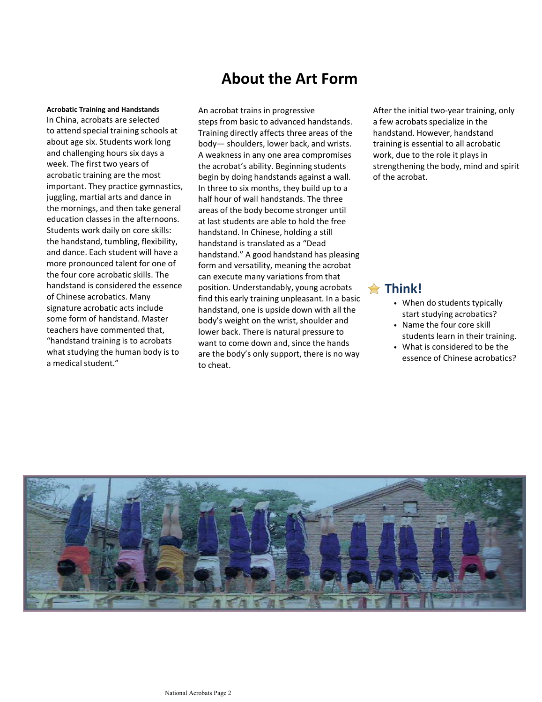## **About the Art Form**

### **Acrobatic Training and Handstands** In China, acrobats are selected to attend special training schools at about age six. Students work long and challenging hours six days a week. The first two years of acrobatic training are the most important. They practice gymnastics, juggling, martial arts and dance in the mornings, and then take general education classes in the afternoons. Students work daily on core skills: the handstand, tumbling, flexibility, and dance. Each student will have a more pronounced talent for one of the four core acrobatic skills. The handstand is considered the essence of Chinese acrobatics. Many signature acrobatic acts include some form of handstand. Master teachers have commented that. "handstand training is to acrobats what studying the human body is to a medical student."

An acrobat trains in progressive steps from basic to advanced handstands. Training directly affects three areas of the body- shoulders, lower back, and wrists. A weakness in any one area compromises the acrobat's ability. Beginning students begin by doing handstands against a wall. In three to six months, they build up to a half hour of wall handstands. The three areas of the body become stronger until at last students are able to hold the free handstand. In Chinese, holding a still handstand is translated as a "Dead handstand." A good handstand has pleasing form and versatility, meaning the acrobat can execute many variations from that position. Understandably, young acrobats find this early training unpleasant. In a basic handstand, one is upside down with all the body's weight on the wrist, shoulder and lower back. There is natural pressure to want to come down and, since the hands are the body's only support, there is no way to cheat.

After, the initial two-vear training, only a few acrobats specialize in the handstand. However, handstand training is essential to all acrobatic work, due to the role it plays in strengthening the body, mind and spirit of the acrobat.

### **Think!**

- When do students typically start studying acrobatics?
- Name the four core skill students learn in their training.
- What is considered to be the essence of Chinese acrobatics?

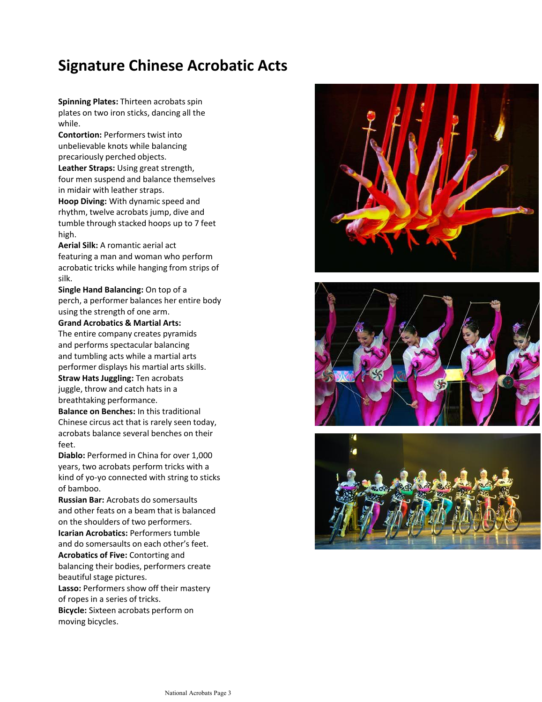# **Signature Chinese Acrobatic Acts**

**Spinning Plates: Thirteen acrobats spin** plates on two iron sticks, dancing all the while.

**Contortion: Performers twist into** unbelievable knots while balancing precariously perched objects.

Leather Straps: Using great strength, four men suspend and balance themselves in midair with leather straps.

**Hoop Diving:** With dynamic speed and rhythm, twelve acrobats jump, dive and tumble through stacked hoops up to 7 feet high.

Aerial Silk: A romantic aerial act featuring a man and woman who perform acrobatic tricks while hanging from strips of silk.

**Single Hand Balancing:** On top of a perch, a performer balances her entire body using the strength of one arm.

**Grand Acrobatics & Martial Arts:** The entire company creates pyramids and performs spectacular balancing and tumbling acts while a martial arts performer displays his martial arts skills. **Straw Hats Juggling: Ten acrobats** juggle, throw and catch hats in a breathtaking performance.

**Balance on Benches:** In this traditional Chinese circus act that is rarely seen today, acrobats balance several benches on their feet.

**Diablo:** Performed in China for over 1,000 years, two acrobats perform tricks with a kind of yo-yo connected with string to sticks of bamboo.

**Russian Bar:** Acrobats do somersaults and other feats on a beam that is balanced on the shoulders of two performers. **Icarian Acrobatics: Performers tumble** 

and do somersaults on each other's feet. **Acrobatics of Five:** Contorting and

balancing their bodies, performers create beautiful stage pictures.

Lasso: Performers show off their mastery of ropes in a series of tricks. **Bicycle:** Sixteen acrobats perform on

moving bicycles.





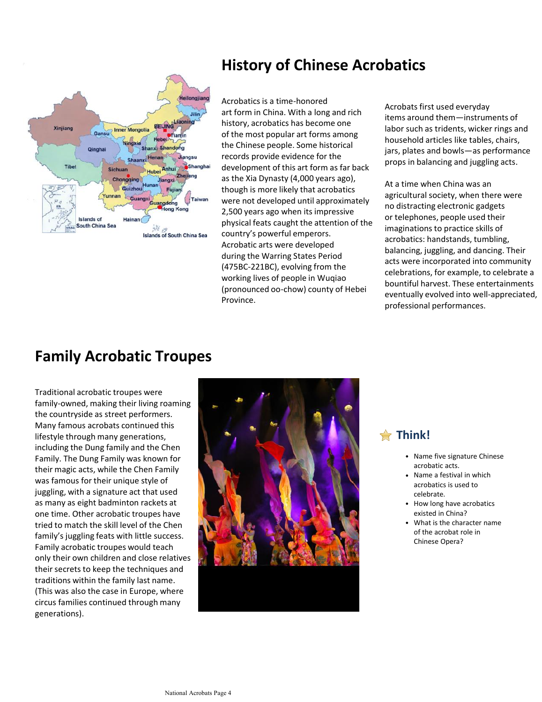

# **History of Chinese Acrobatics**

Acrobatics is a time-honored art form in China. With a long and rich history, acrobatics has become one of the most popular art forms among the Chinese people. Some historical records provide evidence for the development of this art form as far back as the Xia Dynasty (4,000 years ago), though is more likely that acrobatics were not developed until approximately 2,500 years ago when its impressive physical feats caught the attention of the country's powerful emperors. Acrobatic arts were developed during the Warring States Period (475BC-221BC), evolving from the working lives of people in Wugiao (pronounced oo-chow) county of Hebei **Province** 

Acrobats first used everyday items around them-instruments of labor such as tridents, wicker rings and household articles like tables, chairs, jars, plates and bowls-as performance props in balancing and juggling acts.

At a time when China was an agricultural society, when there were no distracting electronic gadgets or telephones, people used their imaginations to practice skills of acrobatics: handstands, tumbling, balancing, juggling, and dancing. Their acts were incorporated into community celebrations, for example, to celebrate a bountiful harvest. These entertainments eventually evolved into well-appreciated. professional performances.

# **Family Acrobatic Troupes**

Traditional acrobatic troupes were family-owned, making their living roaming the countryside as street performers. Many famous acrobats continued this lifestyle through many generations, including the Dung family and the Chen Family. The Dung Family was known for their magic acts, while the Chen Family was famous for their unique style of juggling, with a signature act that used as many as eight badminton rackets at one time. Other acrobatic troupes have tried to match the skill level of the Chen family's juggling feats with little success. Family acrobatic troupes would teach only their own children and close relatives their secrets to keep the techniques and traditions within the family last name. (This was also the case in Europe, where circus families continued through many generations).



### **Think!**

- Name five signature Chinese acrobatic acts.
- Name a festival in which acrobatics is used to celebrate.
- How long have acrobatics existed in China?
- What is the character name of the acrobat role in Chinese Opera?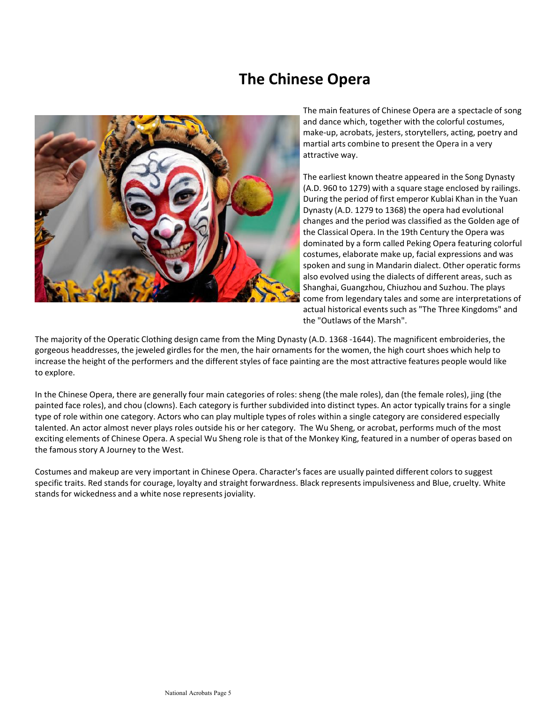## **The Chinese Opera**



The main features of Chinese Opera are a spectacle of song and dance which, together with the colorful costumes, make-up, acrobats, jesters, storytellers, acting, poetry and martial arts combine to present the Opera in a very attractive way.

The earliest known theatre appeared in the Song Dynasty (A.D. 960 to 1279) with a square stage enclosed by railings. During the period of first emperor Kublai Khan in the Yuan Dynasty (A.D. 1279 to 1368) the opera had evolutional changes and the period was classified as the Golden age of the Classical Opera. In the 19th Century the Opera was dominated by a form called Peking Opera featuring colorful costumes, elaborate make up, facial expressions and was spoken and sung in Mandarin dialect. Other operatic forms also evolved using the dialects of different areas, such as Shanghai, Guangzhou, Chiuzhou and Suzhou. The plays come from legendary tales and some are interpretations of actual historical events such as "The Three Kingdoms" and the "Outlaws of the Marsh".

The majority of the Operatic Clothing design came from the Ming Dynasty (A.D. 1368 -1644). The magnificent embroideries, the gorgeous headdresses, the jeweled girdles for the men, the hair ornaments for the women, the high court shoes which help to increase the height of the performers and the different styles of face painting are the most attractive features people would like to explore.

In the Chinese Opera, there are generally four main categories of roles: sheng (the male roles), dan (the female roles), jing (the painted face roles), and chou (clowns). Each category is further subdivided into distinct types. An actor typically trains for a single type of role within one category. Actors who can play multiple types of roles within a single category are considered especially talented. An actor almost never plays roles outside his or her category. The Wu Sheng, or acrobat, performs much of the most exciting elements of Chinese Opera. A special Wu Sheng role is that of the Monkey King, featured in a number of operas based on the famous story A Journey to the West.

Costumes and makeup are very important in Chinese Opera. Character's faces are usually painted different colors to suggest specific traits. Red stands for courage, loyalty and straight forwardness. Black represents impulsiveness and Blue, cruelty. White stands for wickedness and a white nose represents joviality.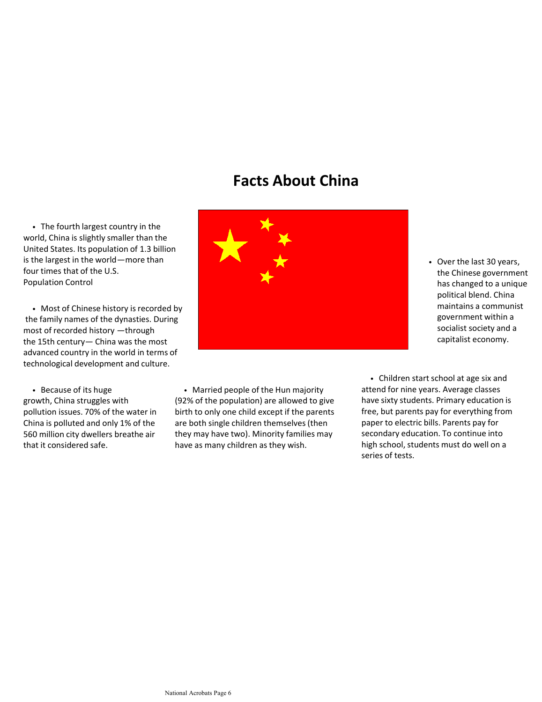## **Facts About China**

• The fourth largest country in the world, China is slightly smaller than the United States. Its population of 1.3 billion is the largest in the world - more than four times that of the U.S. Population Control

• Most of Chinese history is recorded by the family names of the dynasties. During most of recorded history - through the 15th century - China was the most advanced country in the world in terms of technological development and culture.

• Because of its huge growth, China struggles with pollution issues. 70% of the water in China is polluted and only 1% of the 560 million city dwellers breathe air that it considered safe.



• Married people of the Hun majority (92% of the population) are allowed to give birth to only one child except if the parents are both single children themselves (then they may have two). Minority families may have as many children as they wish.

National Acrobats Page 6

• Children start school at age six and attend for nine years. Average classes have sixty students. Primary education is free, but parents pay for everything from paper to electric bills. Parents pay for secondary education. To continue into high school, students must do well on a series of tests.

maintains a communist government within a socialist society and a capitalist economy.

• Over the last 30 years, the Chinese government has changed to a unique political blend. China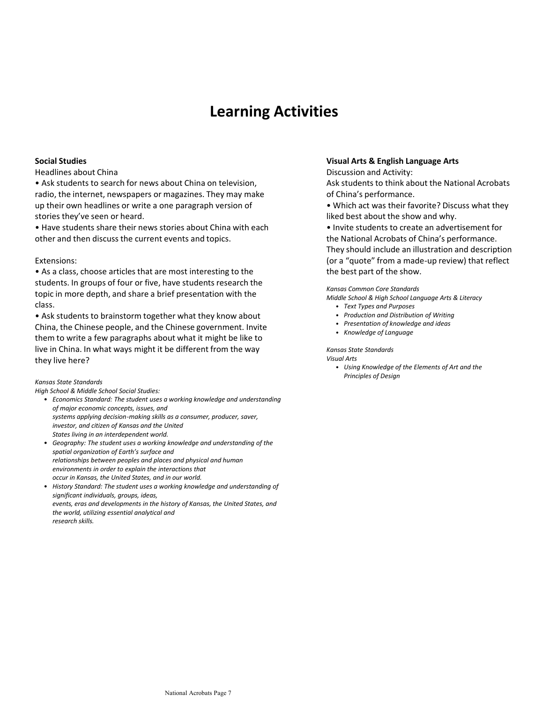# **Learning Activities**

### **Social Studies**

### Headlines about China

• Ask students to search for news about China on television, radio, the internet, newspapers or magazines. They may make up their own headlines or write a one paragraph version of stories they've seen or heard.

• Have students share their news stories about China with each other and then discuss the current events and topics.

### Extensions:

• As a class, choose articles that are most interesting to the students. In groups of four or five, have students research the topic in more depth, and share a brief presentation with the class.

• Ask students to brainstorm together what they know about China, the Chinese people, and the Chinese government. Invite them to write a few paragraphs about what it might be like to live in China. In what ways might it be different from the way they live here?

#### *Kansas%State%Standards*

*High%School%&%Middle%School%Social%Studies:*

- **•** Economics Standard: The student uses a working knowledge and understanding  $of$  major economic concepts, issues, and systems applying decision-making skills as a consumer, producer, saver, *investor,%and%citizen%of%Kansas%and%the%United* States living in an interdependent world.
- **•** Geography: The student uses a working knowledge and understanding of the spatial organization of Earth's surface and *relationships between peoples and places and physical and human* environments in order to explain the interactions that occur in Kansas, the United States, and in our world.
- **•** History Standard: The student uses a working knowledge and understanding of *significant%individuals,%groups,%ideas,* events, eras and developments in the history of Kansas, the United States, and *the%world,%utilizing%essential%analytical%and research%skills.*

### **Visual\*Arts\*&\*English\*Language\*Arts\***

Discussion and Activity:

Ask students to think about the National Acrobats of China's performance.

• Which act was their favorite? Discuss what they liked best about the show and why.

• Invite students to create an advertisement for the National Acrobats of China's performance.

They should include an illustration and description (or a "quote" from a made-up review) that reflect the best part of the show.

#### *Kansas%Common%Core%Standards*

*Middle%School%&%High%School%Language%Arts%&%Literacy*

- ͻ *Text%Types%and%Purposes*
- ͻ *Production%and%Distribution%of%Writing*
- **•** Presentation of knowledge and ideas
- **•** *Knowledge of Language*

### *Kansas%State%Standards*

*Visual%Arts*

• Using Knowledge of the Elements of Art and the **Principles of Design**